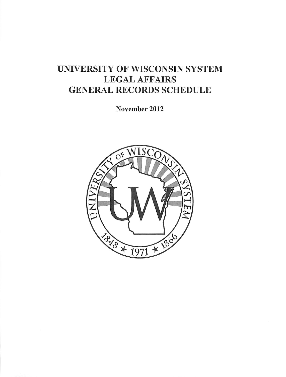# UNIVERSITY OF WISCONSIN SYSTEM LEGAL AFFAIRS GENERAL RECORDS SCHEDULE

November 2012

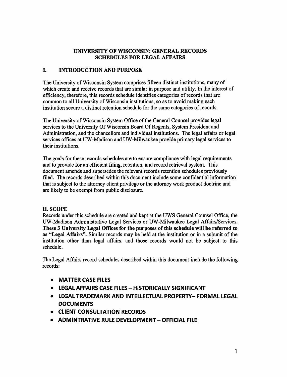### *UNIVERSITY OF WISCONSIN: GENERAL RECORDS SCHEDULES FOR LEGAL AFFAIRS*

### *I. INTRODUCTION AND PURPOSE*

The University of Wisconsin System comprises fifteen distinct institutions, many of which create and receive records that are similar in purpose and utility. In the interest of efficiency, therefore, this records schedule identifies categories of records that are common to all University of Wisconsin institutions, so as to avoid making each institution secure a distinct retention schedule for the same categories of records.

The University of Wisconsin System Office of the General Counsel provides legal services to the University Of Wisconsin Board Of Regents, System President and Administration, and the chancellors and individual institutions. The legal affairs or legal services offices at UW-Madison and UW-Milwaukee provide primary legal services to their institutions.

The goals for these records schedules are to ensure compliance with legal requirements and to provide for an efficient filing, retention, and record retrieval system. This document amends and supersedes the relevant records retention schedules previously filed. The records described within this document include some confidential information that is subject to the attorney client privilege or the attorney work product doctrine and are likely to be exempt from public disclosure.

### n. scope

Records under this schedule are created and kept at the UWS General Counsel Office, the UW-Madison Administrative Legal Services or UW-Milwaukee Legal Affairs/Services. *These 3 University Legal Offices for the purposes ofthis schedule will be referred to as "Legal Affairs".* Similar records may be held at the institution or in a subunit of the institution other than legal affairs, and those records would not be subject to this schedule.

The Legal Affairs record schedules described within this document include the following records:

- *• MATTER CASE FILES*
- *• LEGAL AFFAIRS CASE FILES - HISTORICALLY SIGNIFICANT*
- *• LEGAL TRADEMARK AND INTELLECTUAL PROPERTY- FORMAL LEGAL DOCUMENTS*
- *• CLIENT CONSULTATION RECORDS*
- *• ADMINTRATIVE RULE DEVELOPMENT- OFFICIAL FILE*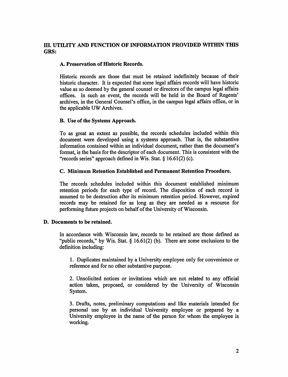### *HI. UTILITY AND FUNCTION OF INFORMATION PROVIDED WITHIN THIS GRS:*

### $A.$  Preservation of Historic Records.

Historic records are those that must be retained indefinitely because of their historic character. It is expected that some legal affairs records will have historic value as so deemed by the general counsel or directors of the campus legal affairs offices. In such an event, the records will be held in the Board of Regents' archives, in the General Counsel's office, in the campus legal affairs office, or in the applicable UW Archives.

### **B.** Use of the Systems Approach.

To as great an extent as possible, the records schedules included within this document were developed using a systems approach. That is, the substantive information contained within an individual document, rather than the document's format, is the basis for the descriptor of each document. This is consistent with the "records series" approach defined in Wis. Stat.  $\S$  16.61(2) (c).

### *C. Minimum Retention Established and Permanent Retention Procedure.*

The records schedules included within this document established minimum retention periods for each type of record. The disposition of each record is assumed to be destruction after its minimum retention period. However, expired records may be retained for as long as they are needed as a resource for performing future projects on behalf of the University of Wisconsin.

### *D. Documents to be retained.*

In accordance with Wisconsin law, records to be retained are those defined as "public records," by Wis. Stat. § 16.61(2) (b). There are some exclusions to the definition including:

1. Duplicates maintained by a University employee only for convenience or reference and for no other substantive purpose.

2. Unsolicited notices or invitations which are not related to any official action taken, proposed, or considered by the University of Wisconsin System.

3. Drafts, notes, preliminary computations and like materials intended for personal use by an individual University employee or prepared by a University employee in the name of the person for whom the employee is working.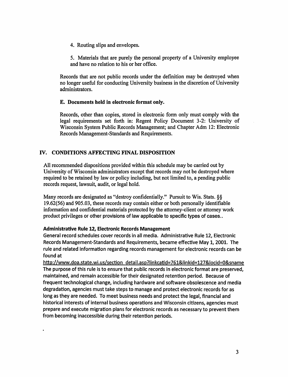4. Routing slips and envelopes.

5. Materials that are purely the personal property of a University employee and have no relation to his or her office.

Records that are not public records under the definition may be destroyed when no longer useful for conducting University business in the discretion of University administrators.

### *E. Documents held in electronic format only.*

Records, other than copies, stored in electronic form only must comply with the legal requirements set forth in: Regent Policy Document 3-2: University of Wisconsin System Public Records Management; and Chapter Adm 12: Electronic Records Management-Standards and Requirements.

### *IV. CONDITIONS AFFECTING FINAL DISPOSITION*

All recommended dispositions provided within this schedule may be carried out by University of Wisconsin administrators except that records may not be destroyed where required to be retained by law or policy including, but not limited to, a pending public records request, lawsuit, audit, or legal hold.

Many records are designated as "destroy confidentially." Pursuit to Wis. Stats. §§ 19.62(56) and 905.03, these records may contain either or both personally identifiable information and confidential materials protected by the attorney-client or attorney work product privileges or other provisions of law applicable to specific types of cases..

### *Administrative Rule 12, Electronic Records Management*

General record schedules cover records in all media. Administrative Rule 12, Electronic Records Management-Standards and Requirements, became effective May 1, 2001. The rule and related information regarding records management for electronic records can be found at

http://www.doa.state.wi.us/section detail.asp?linkcatid=761&linkid=127&locid=0&sname The purpose of this rule is to ensure that public records in electronic format are preserved, maintained, and remain accessible for their designated retention period. Because of frequent technological change, including hardware and software obsolescence and media degradation, agencies must take steps to manage and protect electronic records for as long as they are needed. To meet business needs and protect the legal, financial and historical interests of internal business operations and Wisconsin citizens, agencies must prepare and execute migration plans for electronic records as necessary to prevent them from becoming inaccessible during their retention periods.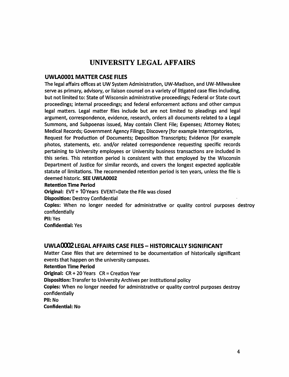# *UNIVERSITY LEGAL AFFAIRS*

### *UWLA0001 MATTER CASE FILES*

The legal affairs offices at UWSystem Administration, UW-Madison, and UW-Milwaukee serve as primary, advisory, or liaison counsel on a variety of litigated case files including, but not limited to: State of Wisconsin administrative proceedings; Federal or State court proceedings; internal proceedings; and federal enforcement actions and other campus legal matters. Legal matter files include but are not limited to pleadings and legal argument, correspondence, evidence, research, orders all documents related to a Legal Summons, and Subpoenas issued, May contain Client File; Expenses; Attorney Notes; Medical Records; Government Agency Filings; Discovery [for example Interrogatories,

Request for Production of Documents; Deposition Transcripts; Evidence [for example photos, statements, etc. and/or related correspondence requesting specific records pertaining to University employees or University business transactions are included in this series. This retention period is consistent with that employed by the Wisconsin Department of Justice for similar records, and covers the longest expected applicable statute of limitations. The recommended retention period is ten years, unless the file is deemed historic. *SEE UWLA0002*

### *Retention Time Period*

*Original:* EVT+ *10* Years EVENT=Date the Filewas closed

*Disposition:* Destroy Confidential

*Copies:* When no longer needed for administrative or quality control purposes destroy confidentially

*PII:Yes*

*Confidential:* Yes

### *UWLA0002 LEGAL AFFAIRS CASE FILES - HISTORICALLY SIGNIFICANT*

Matter Case files that are determined to be documentation of historically significant events that happen on the university campuses.

*Retention Time Period*

*Original:* CR+20 Years CR = Creation Year

*Disposition:* Transfer to University Archives per institutional policy

*Copies:* When no longer needed for administrative or quality control purposes destroy confidentially

*Pll:* No

*Confidential:* No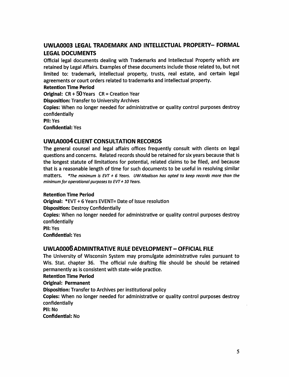## *UWLA0003 LEGAL TRADEMARK AND INTELLECTUAL PROPERTY- FORMAL LEGAL DOCUMENTS*

Official legal documents dealing with Trademarks and Intellectual Property which are retained by Legal Affairs. Examples of these documents include those related to, but not limited to: trademark, intellectual property, trusts, real estate, and certain legal agreements or court orders related to trademarks and intellectual property.

### *Retention Time Period*

**Original:** CR + 50 Years CR = Creation Year *Disposition:* Transfer to University Archives

*Copies:* When no longer needed for administrative or quality control purposes destroy confidentially

*Pll:* Yes

*Confidential:* Yes

### *UWLA0004 CLIENT CONSULTATION RECORDS*

The general counsel and legal affairs offices frequently consult with clients on legal questions and concerns. Related records should be retained for six years because that is the longest statute of limitations for potential, related claims to be filed, and because that is a reasonable length of time for such documents to be useful in resolving similar matters. **\*The minimum is EVT** + **6 Years. UW-Madison has opted to keep records more than the minimumfor operational purposes to EVT+10 Years.**

### *Retention Time Period*

*Original:* \*EVT + 6 Years EVENT= Date of Issue resolution *Disposition:* Destroy Confidentially *Copies:* When no longer needed for administrative or quality control purposes destroy confidentially *Pll:* Yes *Confidential:* Yes

### *UWLA0006ADMINTRATIVE RULE DEVELOPMENT- OFFICIAL FILE*

The University of Wisconsin System may promulgate administrative rules pursuant to Wis. Stat, chapter 36. The official rule drafting file should be should be retained permanently as is consistent with state-wide practice.

### *Retention Time Period*

*Original: Permanent*

*Disposition:* Transfer to Archives per institutional policy

*Copies:* When no longer needed for administrative or quality control purposes destroy confidentially

*Pll:* No

*Confidential:* No